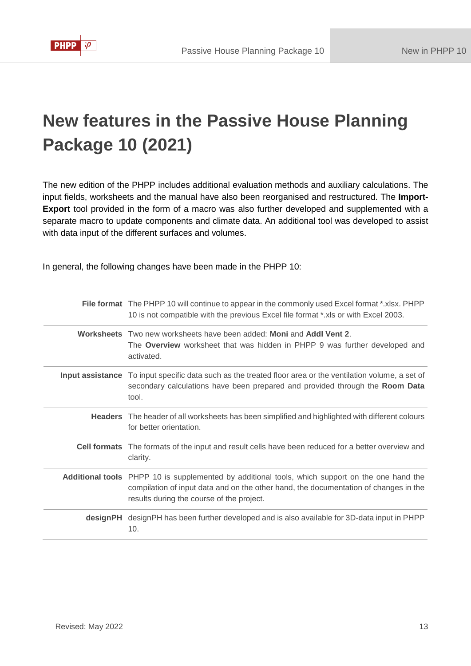

# **New features in the Passive House Planning Package 10 (2021)**

The new edition of the PHPP includes additional evaluation methods and auxiliary calculations. The input fields, worksheets and the manual have also been reorganised and restructured. The **Import-Export** tool provided in the form of a macro was also further developed and supplemented with a separate macro to update components and climate data. An additional tool was developed to assist with data input of the different surfaces and volumes.

In general, the following changes have been made in the PHPP 10:

| File format The PHPP 10 will continue to appear in the commonly used Excel format *.xlsx. PHPP<br>10 is not compatible with the previous Excel file format *.xls or with Excel 2003.                                                        |
|---------------------------------------------------------------------------------------------------------------------------------------------------------------------------------------------------------------------------------------------|
| Worksheets Two new worksheets have been added: Moni and Addl Vent 2.<br>The Overview worksheet that was hidden in PHPP 9 was further developed and<br>activated.                                                                            |
| Input assistance To input specific data such as the treated floor area or the ventilation volume, a set of<br>secondary calculations have been prepared and provided through the Room Data<br>tool.                                         |
| <b>Headers</b> The header of all worksheets has been simplified and highlighted with different colours<br>for better orientation.                                                                                                           |
| <b>Cell formats</b> The formats of the input and result cells have been reduced for a better overview and<br>clarity.                                                                                                                       |
| <b>Additional tools</b> PHPP 10 is supplemented by additional tools, which support on the one hand the<br>compilation of input data and on the other hand, the documentation of changes in the<br>results during the course of the project. |
| designPH designPH has been further developed and is also available for 3D-data input in PHPP<br>10.                                                                                                                                         |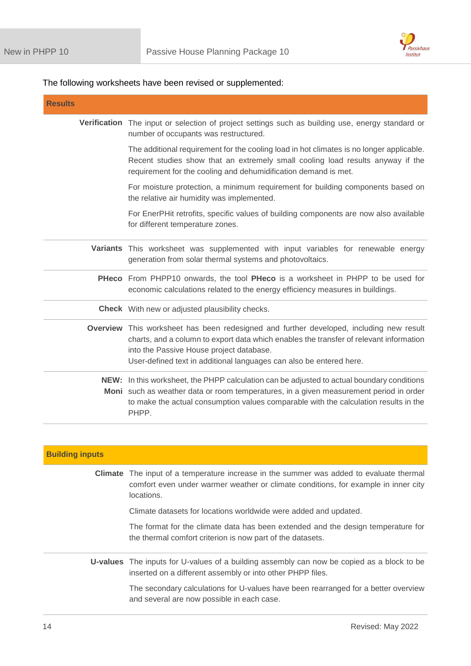

# The following worksheets have been revised or supplemented:

| <b>Results</b> |                                                                                                                                                                                                                                                                                                      |
|----------------|------------------------------------------------------------------------------------------------------------------------------------------------------------------------------------------------------------------------------------------------------------------------------------------------------|
|                | Verification The input or selection of project settings such as building use, energy standard or<br>number of occupants was restructured.                                                                                                                                                            |
|                | The additional requirement for the cooling load in hot climates is no longer applicable.<br>Recent studies show that an extremely small cooling load results anyway if the<br>requirement for the cooling and dehumidification demand is met.                                                        |
|                | For moisture protection, a minimum requirement for building components based on<br>the relative air humidity was implemented.                                                                                                                                                                        |
|                | For EnerPHit retrofits, specific values of building components are now also available<br>for different temperature zones.                                                                                                                                                                            |
|                | Variants This worksheet was supplemented with input variables for renewable energy<br>generation from solar thermal systems and photovoltaics.                                                                                                                                                       |
|                | PHeco From PHPP10 onwards, the tool PHeco is a worksheet in PHPP to be used for<br>economic calculations related to the energy efficiency measures in buildings.                                                                                                                                     |
|                | <b>Check</b> With new or adjusted plausibility checks.                                                                                                                                                                                                                                               |
|                | Overview This worksheet has been redesigned and further developed, including new result<br>charts, and a column to export data which enables the transfer of relevant information<br>into the Passive House project database.<br>User-defined text in additional languages can also be entered here. |
|                | NEW: In this worksheet, the PHPP calculation can be adjusted to actual boundary conditions<br>Moni such as weather data or room temperatures, in a given measurement period in order<br>to make the actual consumption values comparable with the calculation results in the<br>PHPP.                |

| <b>Building inputs</b> |                                                                                                                                                                                                    |
|------------------------|----------------------------------------------------------------------------------------------------------------------------------------------------------------------------------------------------|
|                        | <b>Climate</b> The input of a temperature increase in the summer was added to evaluate thermal<br>comfort even under warmer weather or climate conditions, for example in inner city<br>locations. |
|                        | Climate datasets for locations worldwide were added and updated.                                                                                                                                   |
|                        | The format for the climate data has been extended and the design temperature for<br>the thermal comfort criterion is now part of the datasets.                                                     |
|                        | U-values The inputs for U-values of a building assembly can now be copied as a block to be<br>inserted on a different assembly or into other PHPP files.                                           |
|                        | The secondary calculations for U-values have been rearranged for a better overview<br>and several are now possible in each case.                                                                   |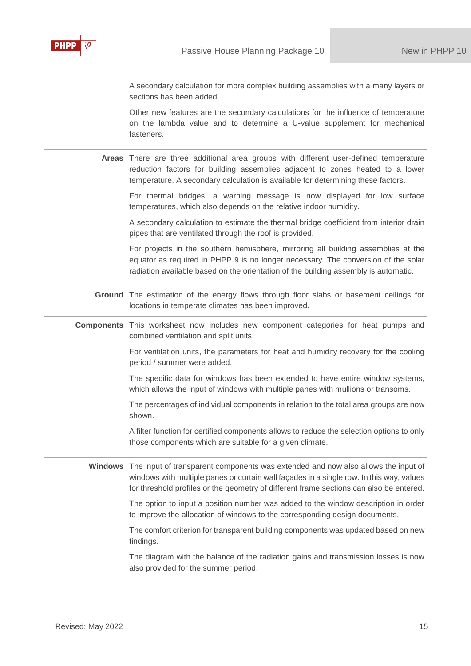

A secondary calculation for more complex building assemblies with a many layers or sections has been added.

Other new features are the secondary calculations for the influence of temperature on the lambda value and to determine a U-value supplement for mechanical fasteners.

**Areas** There are three additional area groups with different user-defined temperature reduction factors for building assemblies adjacent to zones heated to a lower temperature. A secondary calculation is available for determining these factors.

For thermal bridges, a warning message is now displayed for low surface temperatures, which also depends on the relative indoor humidity.

A secondary calculation to estimate the thermal bridge coefficient from interior drain pipes that are ventilated through the roof is provided.

For projects in the southern hemisphere, mirroring all building assemblies at the equator as required in PHPP 9 is no longer necessary. The conversion of the solar radiation available based on the orientation of the building assembly is automatic.

**Ground** The estimation of the energy flows through floor slabs or basement ceilings for locations in temperate climates has been improved.

**Components** This worksheet now includes new component categories for heat pumps and combined ventilation and split units.

> For ventilation units, the parameters for heat and humidity recovery for the cooling period / summer were added.

> The specific data for windows has been extended to have entire window systems, which allows the input of windows with multiple panes with mullions or transoms.

> The percentages of individual components in relation to the total area groups are now shown.

> A filter function for certified components allows to reduce the selection options to only those components which are suitable for a given climate.

**Windows** The input of transparent components was extended and now also allows the input of windows with multiple panes or curtain wall façades in a single row. In this way, values for threshold profiles or the geometry of different frame sections can also be entered.

> The option to input a position number was added to the window description in order to improve the allocation of windows to the corresponding design documents.

> The comfort criterion for transparent building components was updated based on new findings.

> The diagram with the balance of the radiation gains and transmission losses is now also provided for the summer period.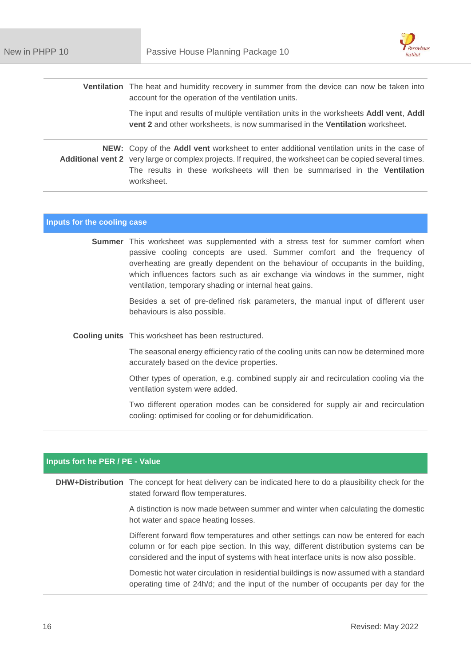

**Ventilation** The heat and humidity recovery in summer from the device can now be taken into account for the operation of the ventilation units.

> The input and results of multiple ventilation units in the worksheets **Addl vent**, **Addl vent 2** and other worksheets, is now summarised in the **Ventilation** worksheet.

**NEW:** Copy of the **Addl vent** worksheet to enter additional ventilation units in the case of Additional vent 2 very large or complex projects. If required, the worksheet can be copied several times. The results in these worksheets will then be summarised in the **Ventilation**  worksheet.

#### **Inputs for the cooling case**

**Summer** This worksheet was supplemented with a stress test for summer comfort when passive cooling concepts are used. Summer comfort and the frequency of overheating are greatly dependent on the behaviour of occupants in the building, which influences factors such as air exchange via windows in the summer, night ventilation, temporary shading or internal heat gains.

> Besides a set of pre-defined risk parameters, the manual input of different user behaviours is also possible.

**Cooling units** This worksheet has been restructured.

The seasonal energy efficiency ratio of the cooling units can now be determined more accurately based on the device properties.

Other types of operation, e.g. combined supply air and recirculation cooling via the ventilation system were added.

Two different operation modes can be considered for supply air and recirculation cooling: optimised for cooling or for dehumidification.

### **Inputs fort he PER / PE - Value**

**DHW+Distribution** The concept for heat delivery can be indicated here to do a plausibility check for the stated forward flow temperatures.

> A distinction is now made between summer and winter when calculating the domestic hot water and space heating losses.

> Different forward flow temperatures and other settings can now be entered for each column or for each pipe section. In this way, different distribution systems can be considered and the input of systems with heat interface units is now also possible.

> Domestic hot water circulation in residential buildings is now assumed with a standard operating time of 24h/d; and the input of the number of occupants per day for the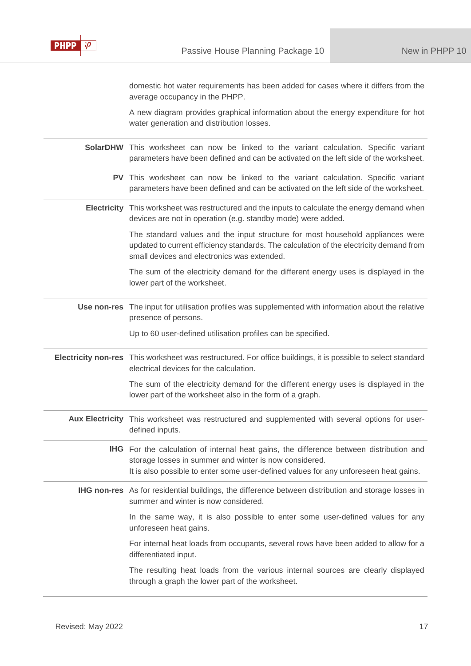

domestic hot water requirements has been added for cases where it differs from the average occupancy in the PHPP.

A new diagram provides graphical information about the energy expenditure for hot water generation and distribution losses.

| SolarDHW This worksheet can now be linked to the variant calculation. Specific variant<br>parameters have been defined and can be activated on the left side of the worksheet.                                                            |
|-------------------------------------------------------------------------------------------------------------------------------------------------------------------------------------------------------------------------------------------|
| PV This worksheet can now be linked to the variant calculation. Specific variant<br>parameters have been defined and can be activated on the left side of the worksheet.                                                                  |
| Electricity This worksheet was restructured and the inputs to calculate the energy demand when<br>devices are not in operation (e.g. standby mode) were added.                                                                            |
| The standard values and the input structure for most household appliances were<br>updated to current efficiency standards. The calculation of the electricity demand from<br>small devices and electronics was extended.                  |
| The sum of the electricity demand for the different energy uses is displayed in the<br>lower part of the worksheet.                                                                                                                       |
| Use non-res The input for utilisation profiles was supplemented with information about the relative<br>presence of persons.                                                                                                               |
| Up to 60 user-defined utilisation profiles can be specified.                                                                                                                                                                              |
| Electricity non-res This worksheet was restructured. For office buildings, it is possible to select standard<br>electrical devices for the calculation.                                                                                   |
| The sum of the electricity demand for the different energy uses is displayed in the<br>lower part of the worksheet also in the form of a graph.                                                                                           |
| Aux Electricity This worksheet was restructured and supplemented with several options for user-<br>defined inputs.                                                                                                                        |
| IHG For the calculation of internal heat gains, the difference between distribution and<br>storage losses in summer and winter is now considered.<br>It is also possible to enter some user-defined values for any unforeseen heat gains. |
| IHG non-res As for residential buildings, the difference between distribution and storage losses in<br>summer and winter is now considered.                                                                                               |
| In the same way, it is also possible to enter some user-defined values for any<br>unforeseen heat gains.                                                                                                                                  |
| For internal heat loads from occupants, several rows have been added to allow for a<br>differentiated input.                                                                                                                              |
| The resulting heat loads from the various internal sources are clearly displayed<br>through a graph the lower part of the worksheet.                                                                                                      |